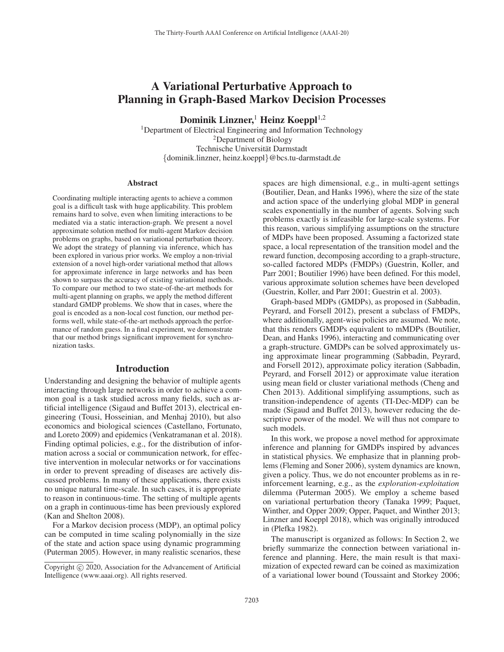# A Variational Perturbative Approach to Planning in Graph-Based Markov Decision Processes

Dominik Linzner,<sup>1</sup> Heinz Koeppl<sup>1,2</sup>

<sup>1</sup>Department of Electrical Engineering and Information Technology 2Department of Biology Technische Universität Darmstadt {dominik.linzner, heinz.koeppl}@bcs.tu-darmstadt.de

#### Abstract

Coordinating multiple interacting agents to achieve a common goal is a difficult task with huge applicability. This problem remains hard to solve, even when limiting interactions to be mediated via a static interaction-graph. We present a novel approximate solution method for multi-agent Markov decision problems on graphs, based on variational perturbation theory. We adopt the strategy of planning via inference, which has been explored in various prior works. We employ a non-trivial extension of a novel high-order variational method that allows for approximate inference in large networks and has been shown to surpass the accuracy of existing variational methods. To compare our method to two state-of-the-art methods for multi-agent planning on graphs, we apply the method different standard GMDP problems. We show that in cases, where the goal is encoded as a non-local cost function, our method performs well, while state-of-the-art methods approach the performance of random guess. In a final experiment, we demonstrate that our method brings significant improvement for synchronization tasks.

#### Introduction

Understanding and designing the behavior of multiple agents interacting through large networks in order to achieve a common goal is a task studied across many fields, such as artificial intelligence (Sigaud and Buffet 2013), electrical engineering (Tousi, Hosseinian, and Menhaj 2010), but also economics and biological sciences (Castellano, Fortunato, and Loreto 2009) and epidemics (Venkatramanan et al. 2018). Finding optimal policies, e.g., for the distribution of information across a social or communication network, for effective intervention in molecular networks or for vaccinations in order to prevent spreading of diseases are actively discussed problems. In many of these applications, there exists no unique natural time-scale. In such cases, it is appropriate to reason in continuous-time. The setting of multiple agents on a graph in continuous-time has been previously explored (Kan and Shelton 2008).

For a Markov decision process (MDP), an optimal policy can be computed in time scaling polynomially in the size of the state and action space using dynamic programming (Puterman 2005). However, in many realistic scenarios, these

spaces are high dimensional, e.g., in multi-agent settings (Boutilier, Dean, and Hanks 1996), where the size of the state and action space of the underlying global MDP in general scales exponentially in the number of agents. Solving such problems exactly is infeasible for large-scale systems. For this reason, various simplifying assumptions on the structure of MDPs have been proposed. Assuming a factorized state space, a local representation of the transition model and the reward function, decomposing according to a graph-structure, so-called factored MDPs (FMDPs) (Guestrin, Koller, and Parr 2001; Boutilier 1996) have been defined. For this model, various approximate solution schemes have been developed (Guestrin, Koller, and Parr 2001; Guestrin et al. 2003).

Graph-based MDPs (GMDPs), as proposed in (Sabbadin, Peyrard, and Forsell 2012), present a subclass of FMDPs, where additionally, agent-wise policies are assumed. We note, that this renders GMDPs equivalent to mMDPs (Boutilier, Dean, and Hanks 1996), interacting and communicating over a graph-structure. GMDPs can be solved approximately using approximate linear programming (Sabbadin, Peyrard, and Forsell 2012), approximate policy iteration (Sabbadin, Peyrard, and Forsell 2012) or approximate value iteration using mean field or cluster variational methods (Cheng and Chen 2013). Additional simplifying assumptions, such as transition-independence of agents (TI-Dec-MDP) can be made (Sigaud and Buffet 2013), however reducing the descriptive power of the model. We will thus not compare to such models.

In this work, we propose a novel method for approximate inference and planning for GMDPs inspired by advances in statistical physics. We emphasize that in planning problems (Fleming and Soner 2006), system dynamics are known, given a policy. Thus, we do not encounter problems as in reinforcement learning, e.g., as the *exploration-exploitation* dilemma (Puterman 2005). We employ a scheme based on variational perturbation theory (Tanaka 1999; Paquet, Winther, and Opper 2009; Opper, Paquet, and Winther 2013; Linzner and Koeppl 2018), which was originally introduced in (Plefka 1982).

The manuscript is organized as follows: In Section 2, we briefly summarize the connection between variational inference and planning. Here, the main result is that maximization of expected reward can be coined as maximization of a variational lower bound (Toussaint and Storkey 2006;

Copyright  $\odot$  2020, Association for the Advancement of Artificial Intelligence (www.aaai.org). All rights reserved.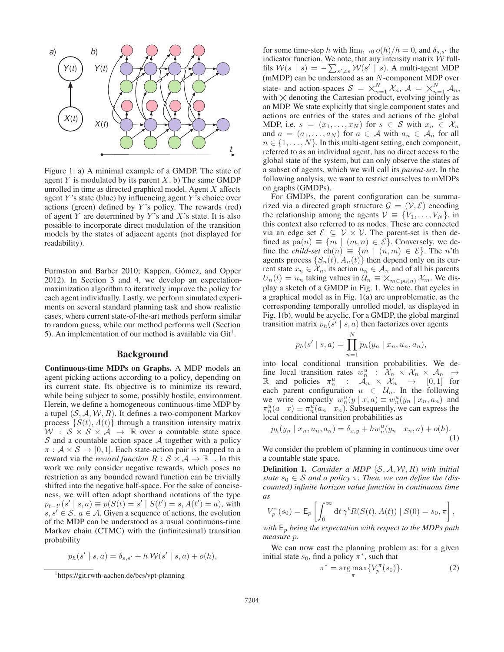

Figure 1: a) A minimal example of a GMDP. The state of agent  $Y$  is modulated by its parent  $X$ . b) The same GMDP unrolled in time as directed graphical model. Agent  $X$  affects agent  $Y$ 's state (blue) by influencing agent  $Y$ 's choice over actions (green) defined by  $Y$ 's policy. The rewards (red) of agent  $Y$  are determined by  $Y$ 's and  $X$ 's state. It is also possible to incorporate direct modulation of the transition models by the states of adjacent agents (not displayed for readability).

Furmston and Barber 2010; Kappen, Gómez, and Opper 2012). In Section 3 and 4, we develop an expectationmaximization algorithm to iteratively improve the policy for each agent individually. Lastly, we perform simulated experiments on several standard planning task and show realistic cases, where current state-of-the-art methods perform similar to random guess, while our method performs well (Section 5). An implementation of our method is available via  $\text{Git}^1$ .

# Background

Continuous-time MDPs on Graphs. A MDP models an agent picking actions according to a policy, depending on its current state. Its objective is to minimize its reward, while being subject to some, possibly hostile, environment. Herein, we define a homogeneous continuous-time MDP by a tupel  $(S, A, W, R)$ . It defines a two-component Markov process  $\{S(t), A(t)\}\$ through a transition intensity matrix  $W : S \times S \times A \rightarrow \mathbb{R}$  over a countable state space S and a countable action space A together with a policy  $\pi : \mathcal{A} \times \mathcal{S} \rightarrow [0, 1]$ . Each state-action pair is mapped to a reward via the *reward function*  $R : S \times A \rightarrow \mathbb{R}_-$ . In this work we only consider negative rewards, which poses no restriction as any bounded reward function can be trivially shifted into the negative half-space. For the sake of conciseness, we will often adopt shorthand notations of the type  $p_{t-t'}(s' \mid s, a) \equiv p(S(t) = s' \mid S(t') = s, A(t') = a)$ , with  $s, s' \in \mathcal{S}, a \in \mathcal{A}$ . Given a sequence of actions, the evolution of the MDP can be understood as a usual continuous-time Markov chain (CTMC) with the (infinitesimal) transition probability

$$
p_h(s' | s, a) = \delta_{s, s'} + h W(s' | s, a) + o(h),
$$

for some time-step h with  $\lim_{h\to 0} o(h)/h = 0$ , and  $\delta_{s,s'}$  the indicator function. We note, that any intensity matrix  $\dot{W}$  fullfils  $W(s \mid s) = -\sum_{s' \neq s} W(s' \mid s)$ . A multi-agent MDP  $(mMDP)$  can be understood as an  $N$ -component MDP over state- and action-spaces  $S = \times_{n=1}^{N} \mathcal{X}_n$ ,  $\mathcal{A} = \times_{n=1}^{N} \mathcal{A}_n$ , with  $\times$  denoting the Cartesian product, evolving jointly as an MDP. We state explicitly that single component states and actions are entries of the states and actions of the global MDP, i.e.  $s = (x_1, \ldots, x_N)$  for  $s \in S$  with  $x_n \in \mathcal{X}_n$ and  $a = (a_1, \ldots, a_N)$  for  $a \in \mathcal{A}$  with  $a_n \in \mathcal{A}_n$  for all  $n \in \{1, \ldots, N\}$ . In this multi-agent setting, each component, referred to as an individual agent, has no direct access to the global state of the system, but can only observe the states of a subset of agents, which we will call its *parent-set*. In the following analysis, we want to restrict ourselves to mMDPs on graphs (GMDPs).

For GMDPs, the parent configuration can be summarized via a directed graph structure  $\mathcal{G} = (\mathcal{V}, \mathcal{E})$  encoding the relationship among the agents  $V \equiv \{V_1, \ldots, V_N\}$ , in this context also referred to as nodes. These are connected via an edge set  $\mathcal{E} \subseteq \mathcal{V} \times \mathcal{V}$ . The parent-set is then defined as  $pa(n) \equiv \{m \mid (m, n) \in \mathcal{E}\}$ . Conversely, we define the *child-set*  $ch(n) \equiv \{m \mid (n, m) \in \mathcal{E}\}\)$ . The *n*'th agents process  $\{S_n(t), A_n(t)\}\$ then depend only on its current state  $x_n \in \mathcal{X}_n$ , its action  $a_n \in \mathcal{A}_n$  and of all his parents  $U_n(t) = u_n$  taking values in  $\mathcal{U}_n \equiv \mathsf{X}_{m \in \text{pa}(n)} \mathcal{X}_m$ . We display a sketch of a GMDP in Fig. 1. We note, that cycles in a graphical model as in Fig. 1(a) are unproblematic, as the corresponding temporally unrolled model, as displayed in Fig. 1(b), would be acyclic. For a GMDP, the global marginal transition matrix  $p_h(s' | s, a)$  then factorizes over agents

$$
p_h(s' | s, a) = \prod_{n=1}^{N} p_h(y_n | x_n, u_n, a_n),
$$

into local conditional transition probabilities. We define local transition rates  $w_n^u$  :  $\mathcal{X}_n \times \mathcal{X}_n \times \mathcal{A}_n \rightarrow$ R and policies  $\pi_n^u$  :  $\mathcal{A}_n \times \mathcal{X}_n \to [0,1]$  for each parent configuration  $u \in \mathcal{U}_n$ . In the following we write compactly  $w_n^u(y | x, a) \equiv w_n^u(y_n | x_n, a_n)$  and  $\pi_n^u(a \mid x) \equiv \pi_n^u(a_n \mid x_n)$ . Subsequently, we can express the local conditional transition probabilities as

$$
p_h(y_n | x_n, u_n, a_n) = \delta_{x,y} + hw_n^u(y_n | x_n, a) + o(h).
$$
\n(1)

We consider the problem of planning in continuous time over a countable state space.

Definition 1. *Consider a MDP* (S, A, W, R) *with initial state*  $s_0 \in S$  *and a policy*  $\pi$ *. Then, we can define the (discounted) infinite horizon value function in continuous time as*

$$
V_p^{\pi}(s_0) = \mathsf{E}_p \left[ \int_0^{\infty} dt \,\gamma^t R(S(t), A(t)) \mid S(0) = s_0, \pi \right],
$$

*with* E<sup>p</sup> *being the expectation with respect to the MDPs path measure* p*.*

We can now cast the planning problem as: for a given initial state  $s_0$ , find a policy  $\pi^*$ , such that

$$
\pi^* = \arg\max_{\pi} \{ V_p^{\pi}(s_0) \}.
$$
 (2)

<sup>1</sup> https://git.rwth-aachen.de/bcs/vpt-planning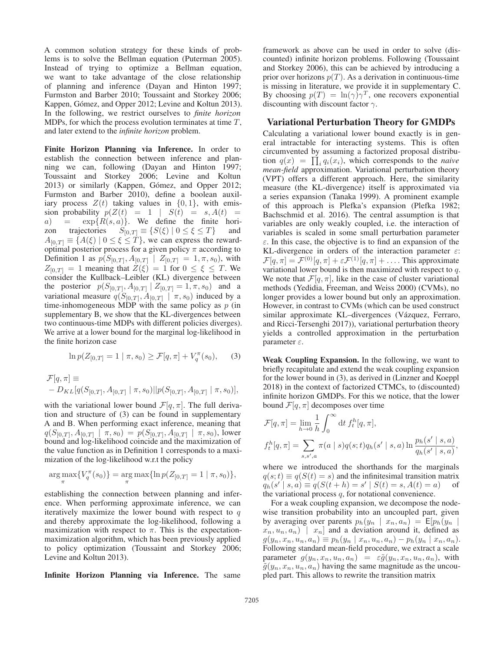A common solution strategy for these kinds of problems is to solve the Bellman equation (Puterman 2005). Instead of trying to optimize a Bellman equation, we want to take advantage of the close relationship of planning and inference (Dayan and Hinton 1997; Furmston and Barber 2010; Toussaint and Storkey 2006; Kappen, Gómez, and Opper 2012; Levine and Koltun 2013). In the following, we restrict ourselves to *finite horizon* MDPs, for which the process evolution terminates at time  $T$ , and later extend to the *infinite horizon* problem.

Finite Horizon Planning via Inference. In order to establish the connection between inference and planning we can, following (Dayan and Hinton 1997; Toussaint and Storkey 2006; Levine and Koltun 2013) or similarly (Kappen, Gómez, and Opper 2012; Furmston and Barber 2010), define a boolean auxiliary process  $Z(t)$  taking values in  $\{0, 1\}$ , with emission probability  $p(Z(t) = 1 | S(t) = s, A(t) =$ a) =  $exp{R(s, a)}$ . We define the finite horizon trajectories  $S_{[0,T]} \equiv \{ S(\xi) \mid 0 \leq \xi \leq T \}$  and  $A_{[0,T]} \equiv \{A(\xi) \mid 0 \leq \xi \leq T\}$ , we can express the rewardoptimal posterior process for a given policy  $\pi$  according to Definition 1 as  $p(S_{[0,T]}, A_{[0,T]} | Z_{[0,T]} = 1, \pi, s_0)$ , with  $Z_{[0,T]} = 1$  meaning that  $Z(\xi) = 1$  for  $0 \le \xi \le T$ . We consider the Kullback–Leibler (KL) divergence between the posterior  $p(S_{[0,T]}, A_{[0,T]} | Z_{[0,T]} = 1, \pi, s_0)$  and a variational measure  $q(S_{[0,T]}, A_{[0,T]} | \pi, s_0)$  induced by a time-inhomogeneous MDP with the same policy as  $p$  (in supplementary B, we show that the KL-divergences between two continuous-time MDPs with different policies diverges). We arrive at a lower bound for the marginal log-likelihood in the finite horizon case

$$
\ln p(Z_{[0,T]} = 1 \mid \pi, s_0) \ge \mathcal{F}[q, \pi] + V_q^{\pi}(s_0), \quad (3)
$$

$$
\begin{aligned} \mathcal{F}[q,\pi] &\equiv\\ &-D_{KL}[q(S_{[0,T]},A_{[0,T]} \mid \pi,s_0)||p(S_{[0,T]},A_{[0,T]} \mid \pi,s_0)], \end{aligned}
$$

with the variational lower bound  $\mathcal{F}[q, \pi]$ . The full derivation and structure of (3) can be found in supplementary A and B. When performing exact inference, meaning that  $q(S_{[0,T]}, A_{[0,T]} | \pi, s_0) = p(S_{[0,T]}, A_{[0,T]} | \pi, s_0)$ , lower bound and log-likelihood coincide and the maximization of the value function as in Definition 1 corresponds to a maximization of the log-likelihood w.r.t the policy

$$
\underset{\pi}{\arg \max} \{ V_q^{\pi}(s_0) \} = \underset{\pi}{\arg \max} \{ \ln p(Z_{[0,T]} = 1 \mid \pi, s_0) \},
$$

establishing the connection between planning and inference. When performing approximate inference, we can iteratively maximize the lower bound with respect to  $q$ and thereby approximate the log-likelihood, following a maximization with respect to  $\pi$ . This is the expectationmaximization algorithm, which has been previously applied to policy optimization (Toussaint and Storkey 2006; Levine and Koltun 2013).

Infinite Horizon Planning via Inference. The same

framework as above can be used in order to solve (discounted) infinite horizon problems. Following (Toussaint and Storkey 2006), this can be achieved by introducing a prior over horizons  $p(T)$ . As a derivation in continuous-time is missing in literature, we provide it in supplementary C. By choosing  $p(T) = \ln(\gamma) \gamma^T$ , one recovers exponential discounting with discount factor  $\gamma$ .

# Variational Perturbation Theory for GMDPs

Calculating a variational lower bound exactly is in general intractable for interacting systems. This is often circumvented by assuming a factorized proposal distribution  $q(x) = \prod_i q_i(x_i)$ , which corresponds to the *naive mean-field* approximation. Variational perturbation theory (VPT) offers a different approach. Here, the similarity measure (the KL-divergence) itself is approximated via a series expansion (Tanaka 1999). A prominent example of this approach is Plefka's expansion (Plefka 1982; Bachschmid et al. 2016). The central assumption is that variables are only weakly coupled, i.e. the interaction of variables is scaled in some small perturbation parameter  $\varepsilon$ . In this case, the objective is to find an expansion of the KL-divergence in orders of the interaction parameter  $\varepsilon$ :  $\mathcal{F}[q,\pi] = \mathcal{F}^{(0)}[q,\pi] + \varepsilon \mathcal{F}^{(1)}[q,\pi] + \dots$  This approximate variational lower bound is then maximized with respect to  $q$ . We note that  $\mathcal{F}[q, \pi]$ , like in the case of cluster variational methods (Yedidia, Freeman, and Weiss 2000) (CVMs), no longer provides a lower bound but only an approximation. However, in contrast to CVMs (which can be used construct similar approximate KL–divergences (Vázquez, Ferraro, and Ricci-Tersenghi 2017)), variational perturbation theory yields a controlled approximation in the perturbation parameter  $\varepsilon$ .

Weak Coupling Expansion. In the following, we want to briefly recapitulate and extend the weak coupling expansion for the lower bound in (3), as derived in (Linzner and Koeppl 2018) in the context of factorized CTMCs, to (discounted) infinite horizon GMDPs. For this we notice, that the lower bound  $\mathcal{F}[q, \pi]$  decomposes over time

$$
\mathcal{F}[q,\pi] = \lim_{h \to 0} \frac{1}{h} \int_0^\infty dt \, f_t^h[q,\pi],
$$
  

$$
f_t^h[q,\pi] = \sum_{s,s',a} \pi(a \mid s) q(s;t) q_h(s' \mid s,a) \ln \frac{p_h(s' \mid s,a)}{q_h(s' \mid s,a)},
$$

where we introduced the shorthands for the marginals  $q(s; t) \equiv q(S(t) = s)$  and the infinitesimal transition matrix  $q_h(s' | s, a) \equiv q(S(t + h) = s' | S(t) = s, A(t) = a)$  of the variational process  $q$ , for notational convenience.

For a weak coupling expansion, we decompose the nodewise transition probability into an uncoupled part, given by averaging over parents  $p_h(y_n | x_n, a_n) = \mathsf{E}[p_h(y_n |$  $x_n, u_n, a_n$  |  $x_n$ ] and a deviation around it, defined as  $g(y_n, x_n, u_n, a_n) \equiv p_h(y_n | x_n, u_n, a_n) - p_h(y_n | x_n, a_n).$ Following standard mean-field procedure, we extract a scale parameter  $g(y_n, x_n, u_n, a_n) = \varepsilon \tilde{g}(y_n, x_n, u_n, a_n)$ , with  $\tilde{g}(y_n, x_n, u_n, a_n)$  having the same magnitude as the uncoupled part. This allows to rewrite the transition matrix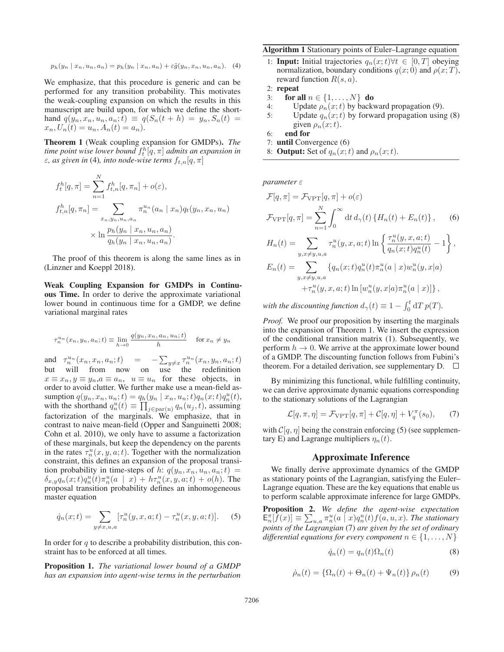$$
p_h(y_n | x_n, u_n, a_n) = p_h(y_n | x_n, a_n) + \varepsilon \tilde{g}(y_n, x_n, u_n, a_n).
$$
 (4)

We emphasize, that this procedure is generic and can be performed for any transition probability. This motivates the weak-coupling expansion on which the results in this manuscript are build upon, for which we define the shorthand  $q(y_n, x_n, u_n, a_n; t) \equiv q(S_n(t + h) = y_n, S_n(t) =$  $x_n, U_n(t) = u_n, A_n(t) = a_n$ .

Theorem 1 (Weak coupling expansion for GMDPs). *The time point wise lower bound*  $f_t^h[q, \pi]$  *admits an expansion in*  $\varepsilon$ *, as given in* (4)*, into node-wise terms*  $f_{t,n}[q, \pi]$ 

$$
f_t^h[q, \pi] = \sum_{n=1}^N f_{t,n}^h[q, \pi_n] + o(\varepsilon),
$$
  
\n
$$
f_{t,n}^h[q, \pi_n] = \sum_{x_n, y_n, u_n, a_n} \pi_u^{u_n}(a_n | x_n) q_t(y_n, x_n, u_n)
$$
  
\n
$$
\times \ln \frac{p_h(y_n | x_n, u_n, a_n)}{q_h(y_n | x_n, u_n, a_n)}.
$$

The proof of this theorem is along the same lines as in (Linzner and Koeppl 2018).

Weak Coupling Expansion for GMDPs in Continuous Time. In order to derive the approximate variational lower bound in continuous time for a GMDP, we define variational marginal rates

$$
\tau_n^{u_n}(x_n, y_n, a_n; t) \equiv \lim_{h \to 0} \frac{q(y_n, x_n, a_n, u_n; t)}{h} \quad \text{for } x_n \neq y_n
$$

and  $\tau_n^{u_n}(x_n, x_n, a_n; t) = -\sum_{y \neq x} \tau_n^{u_n}(x_n, y_n, a_n; t)$ but will from now on use the redefinition  $x \equiv x_n, y \equiv y_n, a \equiv a_n, u \equiv u_n$  for these objects, in order to avoid clutter. We further make use a mean-field assumption  $q(y_n, x_n, u_n; t) = q_h(y_n | x_n, u_n; t) q_n(x; t) q_n^u(t)$ , with the shorthand  $q_n^u(t) \equiv \prod_{j \in \text{par}(n)} q_n(u_j, t)$ , assuming factorization of the marginals. We emphasize, that in contrast to naive mean-field (Opper and Sanguinetti 2008; Cohn et al. 2010), we only have to assume a factorization of these marginals, but keep the dependency on the parents in the rates  $\tau_n^u(x, y, a; t)$ . Together with the normalization constraint, this defines an expansion of the proposal transition probability in time-steps of h:  $q(y_n, x_n, u_n, a_n; t)$  =  $\delta_{x,y}q_n(x;t)q_n^u(t)\pi_n^u(a \mid x) + h\tau_n^u(x,y,a;t) + o(h)$ . The proposal transition probability defines an inhomogeneous master equation

$$
\dot{q}_n(x;t) = \sum_{y \neq x, u, a} [\tau_n^u(y, x, a; t) - \tau_n^u(x, y, a; t)].
$$
 (5)

In order for  $q$  to describe a probability distribution, this constraint has to be enforced at all times.

Proposition 1. *The variational lower bound of a GMDP has an expansion into agent-wise terms in the perturbation* Algorithm 1 Stationary points of Euler–Lagrange equation

- 1: **Input:** Initial trajectories  $q_n(x;t)$ ∀ $t \in [0,T]$  obeying normalization, boundary conditions  $q(x; 0)$  and  $\rho(x; T)$ , reward function  $R(s, a)$ .
- 2: repeat
- 3: for all  $n \in \{1, \ldots, N\}$  do
- 4: Update  $\rho_n(x;t)$  by backward propagation (9).
- 5: Update  $q_n(x;t)$  by forward propagation using (8) given  $\rho_n(x;t)$ .
- 6: end for
- 7: until Convergence (6)
- 8: **Output:** Set of  $q_n(x;t)$  and  $\rho_n(x;t)$ .

*parameter* ε

$$
\mathcal{F}[q,\pi] = \mathcal{F}_{\text{VPT}}[q,\pi] + o(\varepsilon)
$$
  
\n
$$
\mathcal{F}_{\text{VPT}}[q,\pi] = \sum_{n=1}^{N} \int_{0}^{\infty} dt \, d_{\gamma}(t) \left\{ H_{n}(t) + E_{n}(t) \right\}, \qquad (6)
$$
  
\n
$$
H_{n}(t) = \sum_{y,x \neq y,u,a} \tau_{n}^{u}(y,x,a;t) \ln \left\{ \frac{\tau_{n}^{u}(y,x,a;t)}{q_{n}(x;t)q_{n}^{u}(t)} - 1 \right\},
$$
  
\n
$$
E_{n}(t) = \sum_{y,x \neq y,u,a} \left\{ q_{n}(x;t)q_{n}^{u}(t)\pi_{n}^{u}(a \mid x)w_{n}^{u}(y,x|a) + \tau_{n}^{u}(y,x,a;t) \ln \left[ w_{n}^{u}(y,x|a)\pi_{n}^{u}(a \mid x) \right] \right\},
$$

*with the discounting function*  $d_{\gamma}(t) \equiv 1 - \int_0^t dT p(T)$ *.* 

*Proof.* We proof our proposition by inserting the marginals into the expansion of Theorem 1. We insert the expression of the conditional transition matrix (1). Subsequently, we perform  $h \to 0$ . We arrive at the approximate lower bound of a GMDP. The discounting function follows from Fubini's theorem. For a detailed derivation, see supplementary  $D.$   $\square$ 

By minimizing this functional, while fulfilling continuity, we can derive approximate dynamic equations corresponding to the stationary solutions of the Lagrangian

$$
\mathcal{L}[q,\pi,\eta] = \mathcal{F}_{\text{VPT}}[q,\pi] + \mathcal{C}[q,\eta] + V_q^{\pi}(s_0), \qquad (7)
$$

with  $C[q, \eta]$  being the constrain enforcing (5) (see supplementary E) and Lagrange multipliers  $\eta_n(t)$ .

# Approximate Inference

We finally derive approximate dynamics of the GMDP as stationary points of the Lagrangian, satisfying the Euler– Lagrange equation. These are the key equations that enable us to perform scalable approximate inference for large GMDPs.

Proposition 2. *We define the agent-wise expectation*  $\mathsf{E}_{n}^{\pi}[\hat{f}(x)] \equiv \sum_{u,a} \pi_{n}^{u}(a \mid x) q_{n}^{u}(t) f(a, u, x)$ . The stationary *points of the Lagrangian* (7) *are given by the set of ordinary differential equations for every component*  $n \in \{1, \ldots, N\}$ 

$$
\dot{q}_n(t) = q_n(t)\Omega_n(t) \tag{8}
$$

$$
\dot{\rho}_n(t) = \{\Omega_n(t) + \Theta_n(t) + \Psi_n(t)\}\,\rho_n(t) \tag{9}
$$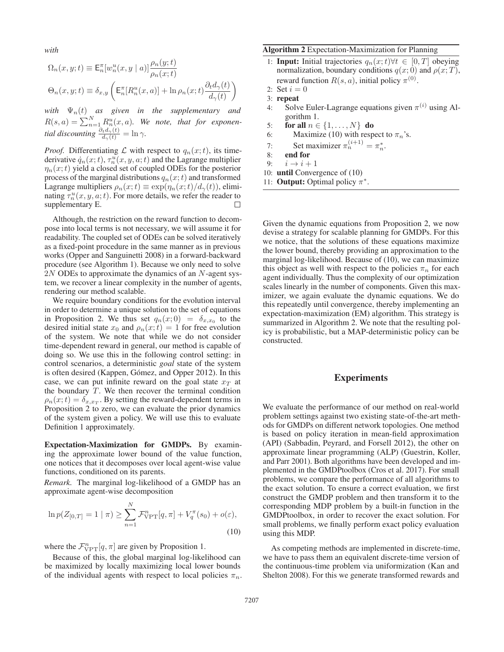*with*

$$
\Omega_n(x, y; t) \equiv \mathsf{E}_n^{\pi} [w_n^u(x, y \mid a)] \frac{\rho_n(y; t)}{\rho_n(x; t)}
$$

$$
\Theta_n(x, y; t) \equiv \delta_{x, y} \left( \mathsf{E}_n^{\pi} [R_n^u(x, a)] + \ln \rho_n(x; t) \frac{\partial_t d_{\gamma}(t)}{d_{\gamma}(t)} \right)
$$

*with* Ψn(t) *as given in the supplementary and*  $R(s, a) = \sum_{n=1}^{N} R_n^u(x, a)$ . We note, that for exponen*tial discounting*  $\frac{\partial_t d_{\gamma}(t)}{d_{\gamma}(t)} = \ln \gamma$ .

*Proof.* Differentiating  $\mathcal L$  with respect to  $q_n(x; t)$ , its timederivative  $\dot{q}_n(x;t)$ ,  $\tau_n^u(x,y,a;t)$  and the Lagrange multiplier  $\eta_n(x;t)$  yield a closed set of coupled ODEs for the posterior process of the marginal distributions  $q_n(x;t)$  and transformed Lagrange multipliers  $\rho_n(x;t) \equiv \exp(\eta_n(x;t)/d_\gamma(t))$ , eliminating  $\tau_n^u(x, y, a; t)$ . For more details, we refer the reader to supplementary E. П

Although, the restriction on the reward function to decompose into local terms is not necessary, we will assume it for readability. The coupled set of ODEs can be solved iteratively as a fixed-point procedure in the same manner as in previous works (Opper and Sanguinetti 2008) in a forward-backward procedure (see Algorithm 1). Because we only need to solve  $2N$  ODEs to approximate the dynamics of an N-agent system, we recover a linear complexity in the number of agents, rendering our method scalable.

We require boundary conditions for the evolution interval in order to determine a unique solution to the set of equations in Proposition 2. We thus set  $q_n(x; 0) = \delta_{x,x_0}$  to the desired initial state  $x_0$  and  $\rho_n(x;t)=1$  for free evolution of the system. We note that while we do not consider time-dependent reward in general, our method is capable of doing so. We use this in the following control setting: in control scenarios, a deterministic *goal* state of the system is often desired (Kappen, Gómez, and Opper 2012). In this case, we can put infinite reward on the goal state  $x_T$  at the boundary  $T$ . We then recover the terminal condition  $\rho_n(x;t) = \delta_{x,x_T}$ . By setting the reward-dependent terms in Proposition 2 to zero, we can evaluate the prior dynamics of the system given a policy. We will use this to evaluate Definition 1 approximately.

Expectation-Maximization for GMDPs. By examining the approximate lower bound of the value function, one notices that it decomposes over local agent-wise value functions, conditioned on its parents.

*Remark.* The marginal log-likelihood of a GMDP has an approximate agent-wise decomposition

$$
\ln p(Z_{[0,T]} = 1 \mid \pi) \ge \sum_{n=1}^{N} \mathcal{F}_{\text{VPT}}^{n}[q, \pi] + V_{q}^{\pi}(s_{0}) + o(\varepsilon),
$$
\n(10)

where the  $\mathcal{F}_{\text{VPT}}^n[q, \pi]$  are given by Proposition 1.

Because of this, the global marginal log-likelihood can be maximized by locally maximizing local lower bounds of the individual agents with respect to local policies  $\pi_n$ .

#### Algorithm 2 Expectation-Maximization for Planning

1: **Input:** Initial trajectories  $q_n(x;t)$ ∀ $t \in [0,T]$  obeying normalization, boundary conditions  $q(x; 0)$  and  $\rho(x; T)$ , reward function  $R(s, a)$ , initial policy  $\pi^{(0)}$ .

2: Set  $i = 0$ 

- 3: repeat
- 4: Solve Euler-Lagrange equations given  $\pi^{(i)}$  using Algorithm 1.
- 5: **for all**  $n \in \{1, ..., N\}$  **do**
- 6: Maximize (10) with respect to  $\pi_n$ 's.
- 7: Set maximizer  $\pi_n^{(i+1)} = \pi_n^*$ .
- 8: end for
- 9:  $i \rightarrow i+1$
- 10: until Convergence of (10)
- 11: **Output:** Optimal policy  $\pi^*$ .

Given the dynamic equations from Proposition 2, we now devise a strategy for scalable planning for GMDPs. For this we notice, that the solutions of these equations maximize the lower bound, thereby providing an approximation to the marginal log-likelihood. Because of (10), we can maximize this object as well with respect to the policies  $\pi_n$  for each agent individually. Thus the complexity of our optimization scales linearly in the number of components. Given this maximizer, we again evaluate the dynamic equations. We do this repeatedly until convergence, thereby implementing an expectation-maximization (EM) algorithm. This strategy is summarized in Algorithm 2. We note that the resulting policy is probabilistic, but a MAP-deterministic policy can be constructed.

### Experiments

We evaluate the performance of our method on real-world problem settings against two existing state-of-the-art methods for GMDPs on different network topologies. One method is based on policy iteration in mean-field approximation (API) (Sabbadin, Peyrard, and Forsell 2012), the other on approximate linear programming (ALP) (Guestrin, Koller, and Parr 2001). Both algorithms have been developed and implemented in the GMDPtoolbox (Cros et al. 2017). For small problems, we compare the performance of all algorithms to the exact solution. To ensure a correct evaluation, we first construct the GMDP problem and then transform it to the corresponding MDP problem by a built-in function in the GMDPtoolbox, in order to recover the exact solution. For small problems, we finally perform exact policy evaluation using this MDP.

As competing methods are implemented in discrete-time, we have to pass them an equivalent discrete-time version of the continuous-time problem via uniformization (Kan and Shelton 2008). For this we generate transformed rewards and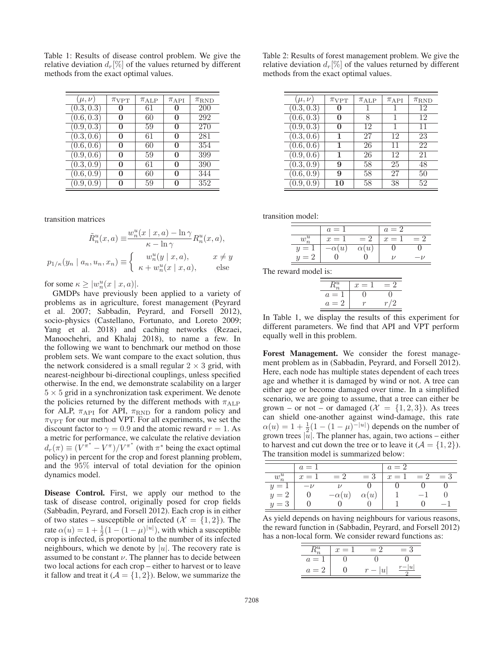Table 1: Results of disease control problem. We give the relative deviation  $d_r[\%]$  of the values returned by different methods from the exact optimal values.

| $\mu, \nu$              | $\pi_{\rm VPT}$ | $\pi_{\text{ALP}}$ | $\pi_{\text{API}}$ | $\pi_{\mathrm{RND}}$ |
|-------------------------|-----------------|--------------------|--------------------|----------------------|
| (0.3, 0.3)              | 0               | 61                 | 0                  | 200                  |
| (0.6, 0.3)              | 0               | 60                 | 0                  | 292                  |
| (0.9, 0.3)              | 0               | 59                 | 0                  | 270                  |
| (0.3, 0.6)              | 0               | 61                 | 0                  | 281                  |
| (0.6, 0.6)              | 0               | 60                 | 0                  | 354                  |
| (0.9, 0.6)              | 0               | 59                 | 0                  | 399                  |
| (0.3, 0.9)              | 0               | 61                 | 0                  | 390                  |
| (0.6, 0.9)              | 0               | 60                 | 0                  | 344                  |
| $\left(0.9, 0.9\right)$ | O               | 59                 | በ                  | 352                  |

transition matrices

$$
\tilde{R}_n^u(x, a) \equiv \frac{w_n^u(x \mid x, a) - \ln \gamma}{\kappa - \ln \gamma} R_n^u(x, a),
$$

$$
p_{1/\kappa}(y_n \mid a_n, u_n, x_n) \equiv \begin{cases} w_n^u(y \mid x, a), & x \neq y \\ \kappa + w_n^u(x \mid x, a), & \text{else} \end{cases}
$$

for some  $\kappa \geq |w_n^u(x \mid x, a)|$ .

GMDPs have previously been applied to a variety of problems as in agriculture, forest management (Peyrard et al. 2007; Sabbadin, Peyrard, and Forsell 2012), socio-physics (Castellano, Fortunato, and Loreto 2009; Yang et al. 2018) and caching networks (Rezaei, Manoochehri, and Khalaj 2018), to name a few. In the following we want to benchmark our method on those problem sets. We want compare to the exact solution, thus the network considered is a small regular  $2 \times 3$  grid, with nearest-neighbour bi-directional couplings, unless specified otherwise. In the end, we demonstrate scalability on a larger  $5 \times 5$  grid in a synchronization task experiment. We denote the policies returned by the different methods with  $\pi_{\text{ALP}}$ for ALP,  $\pi_{\text{API}}$  for API,  $\pi_{\text{RND}}$  for a random policy and  $\pi_{VPT}$  for our method VPT. For all experiments, we set the discount factor to  $\gamma = 0.9$  and the atomic reward  $r = 1$ . As a metric for performance, we calculate the relative deviation  $d_r(\pi) \equiv (V^{\pi^*} - V^{\pi})/V^{\pi^*}$  (with  $\pi^*$  being the exact optimal policy) in percent for the crop and forest planning problem, and the 95% interval of total deviation for the opinion dynamics model.

Disease Control. First, we apply our method to the task of disease control, originally posed for crop fields (Sabbadin, Peyrard, and Forsell 2012). Each crop is in either of two states – susceptible or infected ( $\mathcal{X} = \{1, 2\}$ ). The rate  $\alpha(u) = 1 + \frac{1}{2}(1 - (1 - \mu)^{|u|})$ , with which a susceptible crop is infected, is proportional to the number of its infected neighbours, which we denote by  $|u|$ . The recovery rate is assumed to be constant  $\nu$ . The planner has to decide between two local actions for each crop – either to harvest or to leave it fallow and treat it ( $A = \{1, 2\}$ ). Below, we summarize the

Table 2: Results of forest management problem. We give the relative deviation  $d_r[\%]$  of the values returned by different methods from the exact optimal values.

| $\mu, \nu$             | $\pi_{\rm VPT}$ | $\pi_{\rm ALP}$ | $\pi_{\text{API}}$ | $\pi_{RND}$ |
|------------------------|-----------------|-----------------|--------------------|-------------|
| (0.3, 0.3)             | 0               |                 |                    | 12          |
| (0.6,0.3)              | 0               | 8               |                    | 12          |
| (0.9, 0.3)             | 0               | 12              |                    | 11          |
| $(\overline{0.3},0.6)$ | 1               | 27              | 12                 | 23          |
| (0.6, 0.6)             | 1               | 26              | 11                 | 22          |
| [0.9, 0.6]             | 1               | 26              | 12                 | 21          |
| $\left(0.3,0.9\right)$ | 9               | 58              | 25                 | 48          |
| [0.6, 0.9]             | 9               | 58              | 27                 | 50          |
| 0.9, 0.9               | 10              | 58              | 38                 | 52          |

transition model:

|             | $a=1$        |             | $a=2$ |    |
|-------------|--------------|-------------|-------|----|
| $\bar{w^u}$ | $x=1$        | $=$ 2       | $x =$ | =் |
|             | $-\alpha(u,$ | $\alpha(u)$ |       |    |
|             |              |             |       |    |

The reward model is:

| $\mathcal{R}^u$ | $=$<br>$\mathbf{L}$<br>$\mathcal{X}$ | $\equiv$ |
|-----------------|--------------------------------------|----------|
| $a =$           |                                      |          |
| $a=2$           |                                      |          |

In Table 1, we display the results of this experiment for different parameters. We find that API and VPT perform equally well in this problem.

Forest Management. We consider the forest management problem as in (Sabbadin, Peyrard, and Forsell 2012). Here, each node has multiple states dependent of each trees age and whether it is damaged by wind or not. A tree can either age or become damaged over time. In a simplified scenario, we are going to assume, that a tree can either be grown – or not – or damaged ( $\mathcal{X} = \{1, 2, 3\}$ ). As trees can shield one-another against wind-damage, this rate  $\alpha(u) = 1 + \frac{1}{2}(1 - (1 - \mu)^{-|u|})$  depends on the number of grown trees  $|\tilde{u}|$ . The planner has, again, two actions – either to harvest and cut down the tree or to leave it  $(A = \{1, 2\})$ . The transition model is summarized below:

|         | $a=1$ |              |             | $a=2$ |       |       |
|---------|-------|--------------|-------------|-------|-------|-------|
| $w_n^u$ | $x=1$ | $=$ 2        | $=$ 3       | $x=1$ | $= 2$ | $=$ 3 |
|         |       |              |             |       |       |       |
| $=$     |       | $-\alpha(u)$ | $\alpha(u)$ |       |       |       |
| . = 2   |       |              |             |       |       |       |

As yield depends on having neighbours for various reasons, the reward function in (Sabbadin, Peyrard, and Forsell 2012) has a non-local form. We consider reward functions as:

| Du | -  |                           |                       |
|----|----|---------------------------|-----------------------|
|    |    |                           |                       |
|    | l) | $\boldsymbol{\mathit{u}}$ | $\boldsymbol{\alpha}$ |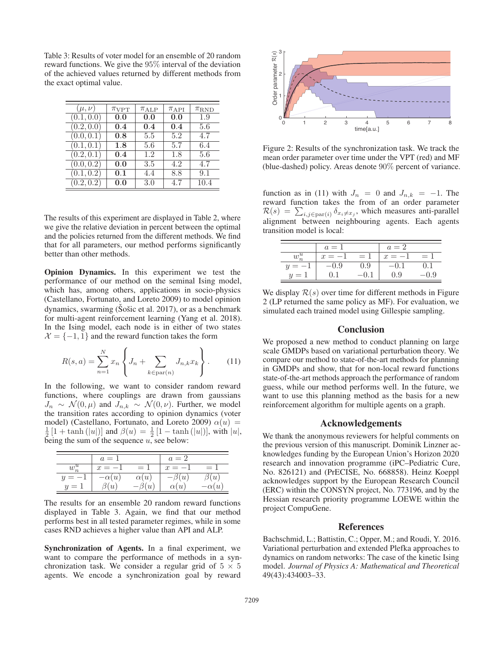Table 3: Results of voter model for an ensemble of 20 random reward functions. We give the 95% interval of the deviation of the achieved values returned by different methods from the exact optimal value.

| $(\mu,\nu)$ | $\pi_{VPT}$ | $\pi_{\text{ALP}}$ | $\pi$ A PI | $\pi_{\text{RND}}$ |
|-------------|-------------|--------------------|------------|--------------------|
| (0.1, 0.0)  | 0.0         | 0.0                | 0.0        | 1.9                |
| (0.2, 0.0)  | 0.4         | 0.4                | 0.4        | 5.6                |
| (0.0, 0.1)  | 0.8         | 5.5                | 5.2        | 4.7                |
| (0.1, 0.1)  | 1.8         | 5.6                | 5.7        | 6.4                |
| (0.2, 0.1)  | 0.4         | 1.2                | 1.8        | 5.6                |
| (0.0, 0.2)  | 0.0         | 3.5                | 4.2        | 4.7                |
| (0.1, 0.2)  | 0.1         | 4.4                | 8.8        | 9.1                |
| (0.2, 0.2)  | 0.0         | 3.0                | 4.7        | 10.4               |

The results of this experiment are displayed in Table 2, where we give the relative deviation in percent between the optimal and the policies returned from the different methods. We find that for all parameters, our method performs significantly better than other methods.

Opinion Dynamics. In this experiment we test the performance of our method on the seminal Ising model, which has, among others, applications in socio-physics (Castellano, Fortunato, and Loreto 2009) to model opinion dynamics, swarming ( $\text{\r{S}}$  oscice et al. 2017), or as a benchmark for multi-agent reinforcement learning (Yang et al. 2018). In the Ising model, each node is in either of two states  $\mathcal{X} = \{-1, 1\}$  and the reward function takes the form

$$
R(s, a) = \sum_{n=1}^{N} x_n \left\{ J_n + \sum_{k \in \text{par}(n)} J_{n,k} x_k \right\}.
$$
 (11)

In the following, we want to consider random reward functions, where couplings are drawn from gaussians  $J_n \sim \mathcal{N}(0,\mu)$  and  $J_{n,k} \sim \mathcal{N}(0,\nu)$ . Further, we model the transition rates according to opinion dynamics (voter model) (Castellano, Fortunato, and Loreto 2009)  $\alpha(u)$  =  $\frac{1}{2}[1 + \tanh(|u|)]$  and  $\beta(u) = \frac{1}{2}[1 - \tanh(|u|)],$  with  $|u|$ , being the sum of the sequence  $u$ , see below:

|         | $a =$            |             | $a=2$            |             |
|---------|------------------|-------------|------------------|-------------|
| $w_n^u$ | $\boldsymbol{x}$ |             | $\boldsymbol{x}$ | $=$ 1       |
|         | $-\alpha(u)$     | $\alpha(u)$ | $\beta(u)$       | (u)         |
| U       | $u_1$            | u           | $\alpha(u)$      | $\alpha(u)$ |

The results for an ensemble 20 random reward functions displayed in Table 3. Again, we find that our method performs best in all tested parameter regimes, while in some cases RND achieves a higher value than API and ALP.

Synchronization of Agents. In a final experiment, we want to compare the performance of methods in a synchronization task. We consider a regular grid of  $5 \times 5$ agents. We encode a synchronization goal by reward



Figure 2: Results of the synchronization task. We track the mean order parameter over time under the VPT (red) and MF (blue-dashed) policy. Areas denote 90% percent of variance.

function as in (11) with  $J_n = 0$  and  $J_{n,k} = -1$ . The reward function takes the from of an order parameter  $\mathcal{R}(s) = \sum_{i,j \in \text{par}(i)} \delta_{x_i \neq x_j}$ , which measures anti-parallel alignment between neighbouring agents. Each agents transition model is local:

|                         | $a=1$   |      | $a=2$  |        |
|-------------------------|---------|------|--------|--------|
| $w_n^u$                 | $x = -$ | $=1$ | $x=-1$ | $=1$   |
|                         | $-0.9$  | 0.9  | $-0.7$ |        |
| $\boldsymbol{u}$<br>$=$ | O.I     | -0.  | 0.9    | $-0.9$ |

We display  $\mathcal{R}(s)$  over time for different methods in Figure 2 (LP returned the same policy as MF). For evaluation, we simulated each trained model using Gillespie sampling.

# **Conclusion**

We proposed a new method to conduct planning on large scale GMDPs based on variational perturbation theory. We compare our method to state-of-the-art methods for planning in GMDPs and show, that for non-local reward functions state-of-the-art methods approach the performance of random guess, while our method performs well. In the future, we want to use this planning method as the basis for a new reinforcement algorithm for multiple agents on a graph.

#### Acknowledgements

We thank the anonymous reviewers for helpful comments on the previous version of this manuscript. Dominik Linzner acknowledges funding by the European Union's Horizon 2020 research and innovation programme (iPC–Pediatric Cure, No. 826121) and (PrECISE, No. 668858). Heinz Koeppl acknowledges support by the European Research Council (ERC) within the CONSYN project, No. 773196, and by the Hessian research priority programme LOEWE within the project CompuGene.

# References

Bachschmid, L.; Battistin, C.; Opper, M.; and Roudi, Y. 2016. Variational perturbation and extended Plefka approaches to dynamics on random networks: The case of the kinetic Ising model. *Journal of Physics A: Mathematical and Theoretical* 49(43):434003–33.